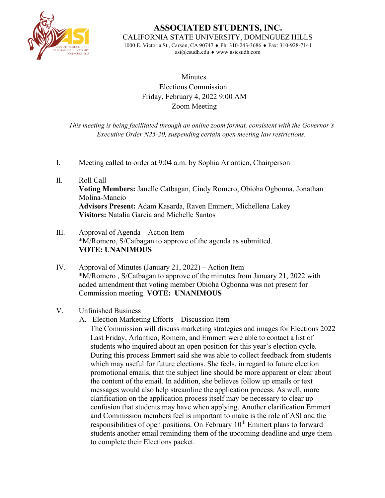

**ASSOCIATED STUDENTS, INC.** CALIFORNIA STATE UNIVERSITY, DOMINGUEZ HILLS

1000 E. Victoria St., Carson, CA 90747 ♦ Ph: 310-243-3686 ♦ Fax: 310-928-7141 [asi@csudh.edu](mailto:asi@csudh.edu) ♦ [www.asicsudh.com](http://www.asicsudh.com/)

## **Minutes** Elections Commission Friday, February 4, 2022 9:00 AM Zoom Meeting

*This meeting is being facilitated through an online zoom format, consistent with the Governor's Executive Order N25-20, suspending certain open meeting law restrictions.*

- I. Meeting called to order at 9:04 a.m. by Sophia Arlantico, Chairperson
- II. Roll Call **Voting Members:** Janelle Catbagan, Cindy Romero, Obioha Ogbonna, Jonathan Molina-Mancio **Advisors Present:** Adam Kasarda, Raven Emmert, Michellena Lakey **Visitors:** Natalia Garcia and Michelle Santos
- III. Approval of Agenda Action Item \*M/Romero, S/Catbagan to approve of the agenda as submitted. **VOTE: UNANIMOUS**
- IV. Approval of Minutes (January 21, 2022) Action Item \*M/Romero , S/Catbagan to approve of the minutes from January 21, 2022 with added amendment that voting member Obioha Ogbonna was not present for Commission meeting. **VOTE: UNANIMOUS**

## V. Unfinished Business

A. Election Marketing Efforts – Discussion Item

The Commission will discuss marketing strategies and images for Elections 2022 Last Friday, Arlantico, Romero, and Emmert were able to contact a list of students who inquired about an open position for this year's election cycle. During this process Emmert said she was able to collect feedback from students which may useful for future elections. She feels, in regard to future election promotional emails, that the subject line should be more apparent or clear about the content of the email. In addition, she believes follow up emails or text messages would also help streamline the application process. As well, more clarification on the application process itself may be necessary to clear up confusion that students may have when applying. Another clarification Emmert and Commission members feel is important to make is the role of ASI and the responsibilities of open positions. On February  $10<sup>th</sup>$  Emmert plans to forward students another email reminding them of the upcoming deadline and urge them to complete their Elections packet.